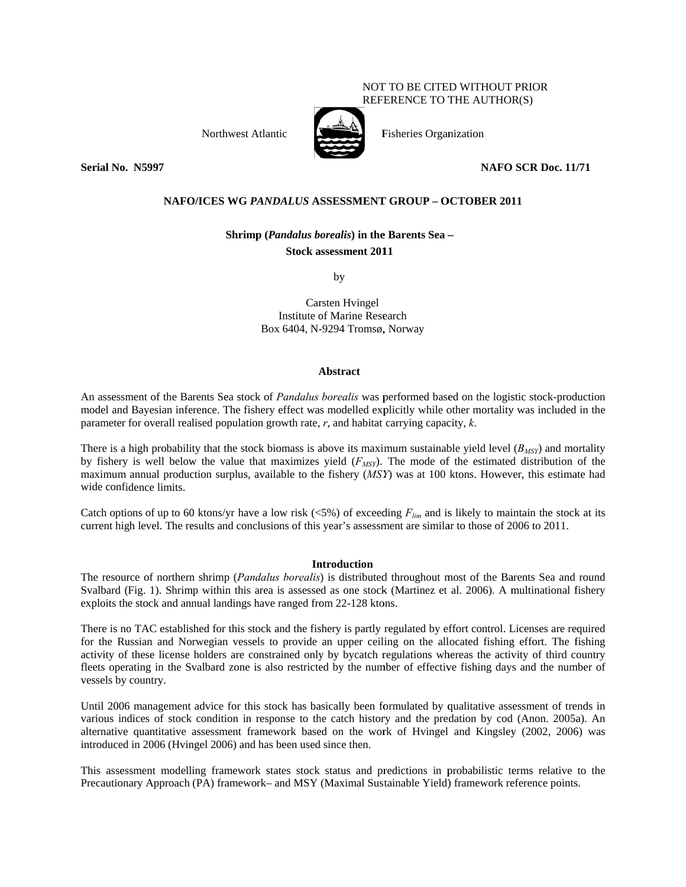# NOT TO BE CITED WITHOUT PRIOR REFERENCE TO THE AUTHOR(S)

Northwest A Atlantic



Fisheries Organization

 **NAFO SCR Doc. 11/ /71** 

# NAFO/ICES WG *PANDALUS* ASSESSMENT GROUP – OCTOBER 2011

# **Shrimp** (*Pandalus borealis*) in the Barents Sea –

## **Stock assessment 2011**

by

Carsten Hvingel Institute of Marine Research Box 6404, N-9294 Tromsø, Norway

## **A Abstract**

An assessment of the Barents Sea stock of *Pandalus borealis* was performed based on the logistic stock-production model and Bayesian inference. The fishery effect was modelled explicitly while other mortality was included in the parameter for overall realised population growth rate,  $r$ , and habitat carrying capacity,  $k$ .

There is a high probability that the stock biomass is above its maximum sustainable yield level  $(B_{MST})$  and mortality by fishery is well below the value that maximizes yield  $(F_{MSY})$ . The mode of the estimated distribution of the maximum annual production surplus, available to the fishery (*MSY*) was at 100 ktons. However, this estimate had wide confi dence limits.

Catch options of up to 60 ktons/yr have a low risk  $\left(\langle 5\% \right)$  of exceeding  $F_{lim}$  and is likely to maintain the stock at its current high level. The results and conclusions of this year's assessment are similar to those of 2006 to 2011.

# **In ntroduction**

The resource of northern shrimp (*Pandalus borealis*) is distributed throughout most of the Barents Sea and round Svalbard (Fig. 1). Shrimp within this area is assessed as one stock (Martinez et al. 2006). A multinational fishery exploits the stock and annual landings have ranged from 22-128 ktons.

There is no TAC established for this stock and the fishery is partly regulated by effort control. Licenses are required for the Russian and Norwegian vessels to provide an upper ceiling on the allocated fishing effort. The fishing activity of these license holders are constrained only by bycatch regulations whereas the activity of third country fleets operating in the Svalbard zone is also restricted by the number of effective fishing days and the number of vessels by country.

Until 2006 management advice for this stock has basically been formulated by qualitative assessment of trends in various indices of stock condition in response to the catch history and the predation by cod (Anon. 2005a). An alternative quantitative assessment framework based on the work of Hvingel and Kingsley (2002, 2006) was introduced in 2006 (Hvingel 2006) and has been used since then.

This assessment modelling framework states stock status and predictions in probabilistic terms relative to the Precautionary Approach (PA) framework– and MSY (Maximal Sustainable Yield) framework reference points.

**Serial No. N5997**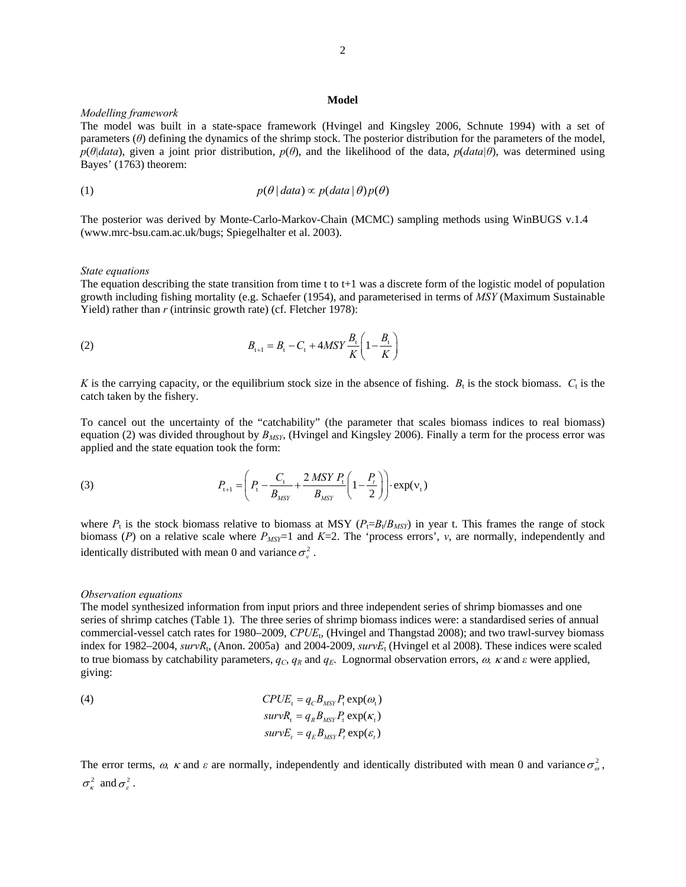#### **Model**

## *Modelling framework*

The model was built in a state-space framework (Hvingel and Kingsley 2006, Schnute 1994) with a set of parameters (*θ*) defining the dynamics of the shrimp stock. The posterior distribution for the parameters of the model, *p*(*θ|data*), given a joint prior distribution, *p*(*θ*), and the likelihood of the data, *p*(*data|θ*), was determined using Bayes' (1763) theorem:

(1) 
$$
p(\theta | data) \propto p(data | \theta) p(\theta)
$$

The posterior was derived by Monte-Carlo-Markov-Chain (MCMC) sampling methods using WinBUGS v.1.4 (www.mrc-bsu.cam.ac.uk/bugs; Spiegelhalter et al. 2003).

#### *State equations*

The equation describing the state transition from time t to  $t+1$  was a discrete form of the logistic model of population growth including fishing mortality (e.g. Schaefer (1954), and parameterised in terms of *MSY* (Maximum Sustainable Yield) rather than *r* (intrinsic growth rate) (cf. Fletcher 1978):

(2) 
$$
B_{t+1} = B_t - C_t + 4MSY \frac{B_t}{K} \left( 1 - \frac{B_t}{K} \right)
$$

*K* is the carrying capacity, or the equilibrium stock size in the absence of fishing.  $B_t$  is the stock biomass.  $C_t$  is the catch taken by the fishery.

To cancel out the uncertainty of the "catchability" (the parameter that scales biomass indices to real biomass) equation (2) was divided throughout by *BMSY*, (Hvingel and Kingsley 2006). Finally a term for the process error was applied and the state equation took the form:

(3) 
$$
P_{t+1} = \left(P_t - \frac{C_t}{B_{MSY}} + \frac{2 \, MSY \, P_t}{B_{MSY}} \left(1 - \frac{P_t}{2}\right)\right) \cdot \exp(v_t)
$$

where  $P_t$  is the stock biomass relative to biomass at MSY ( $P_t = B_t/B_{MST}$ ) in year t. This frames the range of stock biomass ( $P$ ) on a relative scale where  $P_{MSY}$ =1 and  $K=2$ . The 'process errors',  $v$ , are normally, independently and identically distributed with mean 0 and variance  $\sigma_v^2$ .

#### *Observation equations*

The model synthesized information from input priors and three independent series of shrimp biomasses and one series of shrimp catches (Table 1). The three series of shrimp biomass indices were: a standardised series of annual commercial-vessel catch rates for 1980–2009, *CPUE*t, (Hvingel and Thangstad 2008); and two trawl-survey biomass index for 1982–2004, *survR*t, (Anon. 2005a) and 2004-2009, *survE*t (Hvingel et al 2008). These indices were scaled to true biomass by catchability parameters,  $q_c$ ,  $q_R$  and  $q_E$ . Lognormal observation errors,  $\omega$ ,  $\kappa$  and  $\varepsilon$  were applied, giving:

(4) 
$$
CPUE_t = q_C B_{MSY} P_t \exp(\omega_t)
$$

$$
survR_t = q_R B_{MSY} P_t \exp(\kappa_t)
$$

$$
survE_t = q_E B_{MSY} P_t \exp(\varepsilon_t)
$$

The error terms,  $\omega$ ,  $\kappa$  and  $\varepsilon$  are normally, independently and identically distributed with mean 0 and variance  $\sigma_{\omega}^2$ ,  $\sigma_{\epsilon}^2$  and  $\sigma_{\epsilon}^2$ .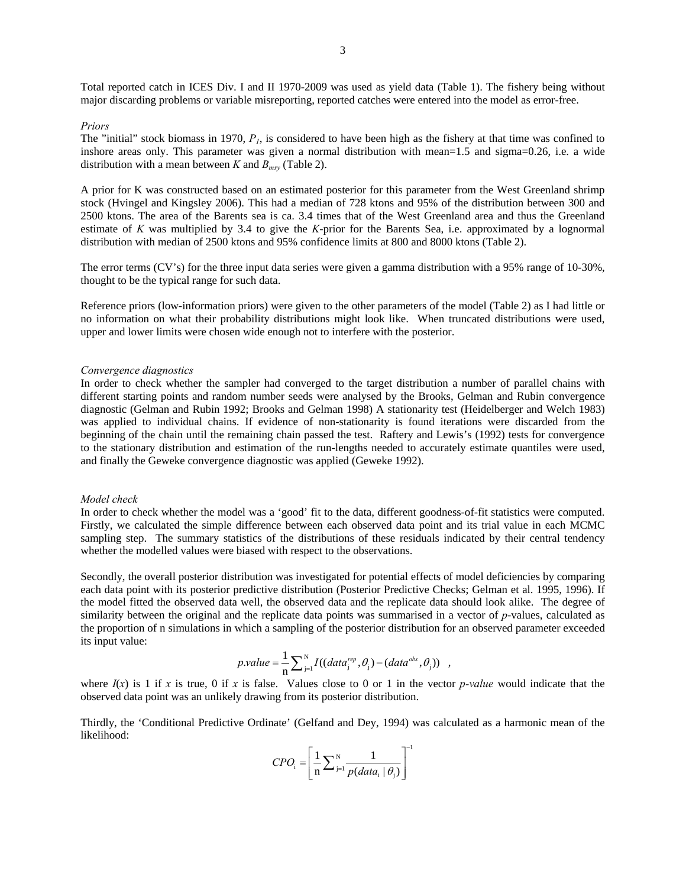Total reported catch in ICES Div. I and II 1970-2009 was used as yield data (Table 1). The fishery being without major discarding problems or variable misreporting, reported catches were entered into the model as error-free.

#### *Priors*

The "initial" stock biomass in 1970,  $P<sub>1</sub>$ , is considered to have been high as the fishery at that time was confined to inshore areas only. This parameter was given a normal distribution with mean=1.5 and sigma=0.26, i.e. a wide distribution with a mean between *K* and  $B_{msy}$  (Table 2).

A prior for K was constructed based on an estimated posterior for this parameter from the West Greenland shrimp stock (Hvingel and Kingsley 2006). This had a median of 728 ktons and 95% of the distribution between 300 and 2500 ktons. The area of the Barents sea is ca. 3.4 times that of the West Greenland area and thus the Greenland estimate of *K* was multiplied by 3.4 to give the *K*-prior for the Barents Sea, i.e. approximated by a lognormal distribution with median of 2500 ktons and 95% confidence limits at 800 and 8000 ktons (Table 2).

The error terms (CV's) for the three input data series were given a gamma distribution with a 95% range of 10-30%, thought to be the typical range for such data.

Reference priors (low-information priors) were given to the other parameters of the model (Table 2) as I had little or no information on what their probability distributions might look like. When truncated distributions were used, upper and lower limits were chosen wide enough not to interfere with the posterior.

## *Convergence diagnostics*

In order to check whether the sampler had converged to the target distribution a number of parallel chains with different starting points and random number seeds were analysed by the Brooks, Gelman and Rubin convergence diagnostic (Gelman and Rubin 1992; Brooks and Gelman 1998) A stationarity test (Heidelberger and Welch 1983) was applied to individual chains. If evidence of non-stationarity is found iterations were discarded from the beginning of the chain until the remaining chain passed the test. Raftery and Lewis's (1992) tests for convergence to the stationary distribution and estimation of the run-lengths needed to accurately estimate quantiles were used, and finally the Geweke convergence diagnostic was applied (Geweke 1992).

#### *Model check*

In order to check whether the model was a 'good' fit to the data, different goodness-of-fit statistics were computed. Firstly, we calculated the simple difference between each observed data point and its trial value in each MCMC sampling step. The summary statistics of the distributions of these residuals indicated by their central tendency whether the modelled values were biased with respect to the observations.

Secondly, the overall posterior distribution was investigated for potential effects of model deficiencies by comparing each data point with its posterior predictive distribution (Posterior Predictive Checks; Gelman et al. 1995, 1996). If the model fitted the observed data well, the observed data and the replicate data should look alike. The degree of similarity between the original and the replicate data points was summarised in a vector of *p*-values, calculated as the proportion of n simulations in which a sampling of the posterior distribution for an observed parameter exceeded its input value:

$$
p.value = \frac{1}{n} \sum_{j=1}^{N} I((data_j^{rep}, \theta_j) - (data^{obs}, \theta_j)) ,
$$

where  $I(x)$  is 1 if *x* is true, 0 if *x* is false. Values close to 0 or 1 in the vector *p*-value would indicate that the observed data point was an unlikely drawing from its posterior distribution.

Thirdly, the 'Conditional Predictive Ordinate' (Gelfand and Dey, 1994) was calculated as a harmonic mean of the likelihood:  $\Gamma$ 

$$
CPO_{i} = \left[\frac{1}{n}\sum_{j=1}^{N} \frac{1}{p(data_{i} | \theta_{j})}\right]^{-1}
$$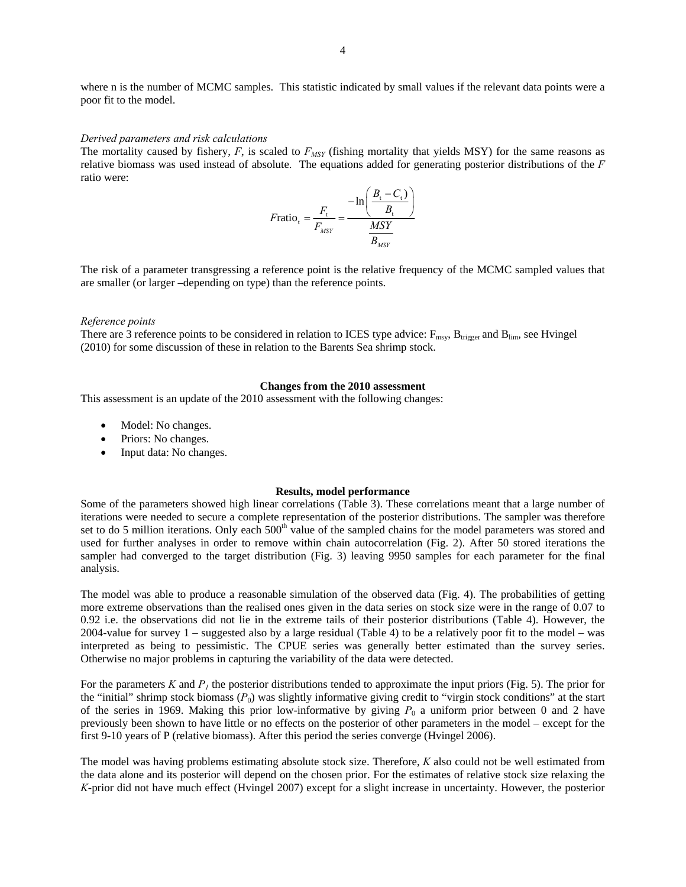where n is the number of MCMC samples. This statistic indicated by small values if the relevant data points were a poor fit to the model.

#### *Derived parameters and risk calculations*

The mortality caused by fishery,  $F$ , is scaled to  $F_{MST}$  (fishing mortality that yields MSY) for the same reasons as relative biomass was used instead of absolute. The equations added for generating posterior distributions of the *F* ratio were:

$$
F \text{ratio}_{t} = \frac{F_{t}}{F_{MSY}} = \frac{-\ln\left(\frac{B_{t} - C_{t}}{B_{t}}\right)}{\frac{MSY}{B_{MSY}}}
$$

The risk of a parameter transgressing a reference point is the relative frequency of the MCMC sampled values that are smaller (or larger –depending on type) than the reference points.

#### *Reference points*

There are 3 reference points to be considered in relation to ICES type advice:  $F_{\text{msy}}$ ,  $B_{\text{trigger}}$  and  $B_{\text{lim}}$ , see Hvingel (2010) for some discussion of these in relation to the Barents Sea shrimp stock.

## **Changes from the 2010 assessment**

This assessment is an update of the 2010 assessment with the following changes:

- Model: No changes.
- Priors: No changes.
- Input data: No changes.

### **Results, model performance**

Some of the parameters showed high linear correlations (Table 3). These correlations meant that a large number of iterations were needed to secure a complete representation of the posterior distributions. The sampler was therefore set to do 5 million iterations. Only each 500<sup>th</sup> value of the sampled chains for the model parameters was stored and used for further analyses in order to remove within chain autocorrelation (Fig. 2). After 50 stored iterations the sampler had converged to the target distribution (Fig. 3) leaving 9950 samples for each parameter for the final analysis.

The model was able to produce a reasonable simulation of the observed data (Fig. 4). The probabilities of getting more extreme observations than the realised ones given in the data series on stock size were in the range of 0.07 to 0.92 i.e. the observations did not lie in the extreme tails of their posterior distributions (Table 4). However, the 2004-value for survey 1 – suggested also by a large residual (Table 4) to be a relatively poor fit to the model – was interpreted as being to pessimistic. The CPUE series was generally better estimated than the survey series. Otherwise no major problems in capturing the variability of the data were detected.

For the parameters  $K$  and  $P<sub>l</sub>$  the posterior distributions tended to approximate the input priors (Fig. 5). The prior for the "initial" shrimp stock biomass  $(P_0)$  was slightly informative giving credit to "virgin stock conditions" at the start of the series in 1969. Making this prior low-informative by giving  $P_0$  a uniform prior between 0 and 2 have previously been shown to have little or no effects on the posterior of other parameters in the model – except for the first 9-10 years of P (relative biomass). After this period the series converge (Hvingel 2006).

The model was having problems estimating absolute stock size. Therefore, *K* also could not be well estimated from the data alone and its posterior will depend on the chosen prior. For the estimates of relative stock size relaxing the *K*-prior did not have much effect (Hvingel 2007) except for a slight increase in uncertainty. However, the posterior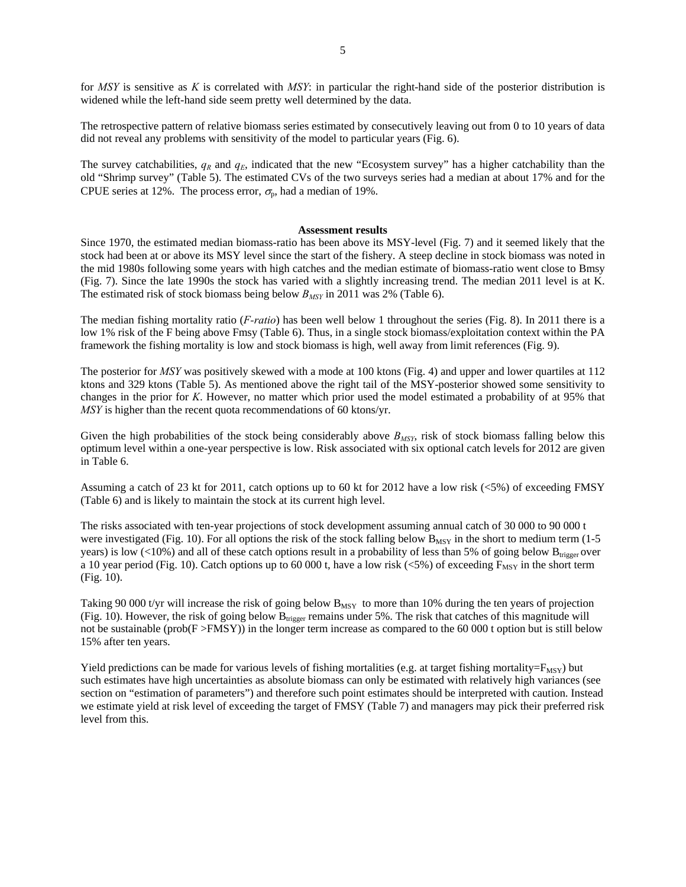for *MSY* is sensitive as *K* is correlated with *MSY*: in particular the right-hand side of the posterior distribution is widened while the left-hand side seem pretty well determined by the data.

The retrospective pattern of relative biomass series estimated by consecutively leaving out from 0 to 10 years of data did not reveal any problems with sensitivity of the model to particular years (Fig. 6).

The survey catchabilities,  $q_R$  and  $q_E$ , indicated that the new "Ecosystem survey" has a higher catchability than the old "Shrimp survey" (Table 5). The estimated CVs of the two surveys series had a median at about 17% and for the CPUE series at 12%. The process error,  $\sigma_{p}$ , had a median of 19%.

#### **Assessment results**

Since 1970, the estimated median biomass-ratio has been above its MSY-level (Fig. 7) and it seemed likely that the stock had been at or above its MSY level since the start of the fishery. A steep decline in stock biomass was noted in the mid 1980s following some years with high catches and the median estimate of biomass-ratio went close to Bmsy (Fig. 7). Since the late 1990s the stock has varied with a slightly increasing trend. The median 2011 level is at K. The estimated risk of stock biomass being below  $B_{MSY}$  in 2011 was 2% (Table 6).

The median fishing mortality ratio (*F-ratio*) has been well below 1 throughout the series (Fig. 8). In 2011 there is a low 1% risk of the F being above Fmsy (Table 6). Thus, in a single stock biomass/exploitation context within the PA framework the fishing mortality is low and stock biomass is high, well away from limit references (Fig. 9).

The posterior for *MSY* was positively skewed with a mode at 100 ktons (Fig. 4) and upper and lower quartiles at 112 ktons and 329 ktons (Table 5). As mentioned above the right tail of the MSY-posterior showed some sensitivity to changes in the prior for *K*. However, no matter which prior used the model estimated a probability of at 95% that *MSY* is higher than the recent quota recommendations of 60 ktons/yr.

Given the high probabilities of the stock being considerably above  $B_{MSY}$ , risk of stock biomass falling below this optimum level within a one-year perspective is low. Risk associated with six optional catch levels for 2012 are given in Table 6.

Assuming a catch of 23 kt for 2011, catch options up to 60 kt for 2012 have a low risk (<5%) of exceeding FMSY (Table 6) and is likely to maintain the stock at its current high level.

The risks associated with ten-year projections of stock development assuming annual catch of 30 000 to 90 000 t were investigated (Fig. 10). For all options the risk of the stock falling below  $B_{MSY}$  in the short to medium term (1-5) years) is low (<10%) and all of these catch options result in a probability of less than 5% of going below  $B_{\text{trigger}}$  over a 10 year period (Fig. 10). Catch options up to 60 000 t, have a low risk ( $< 5\%$ ) of exceeding  $F_{\text{MSY}}$  in the short term (Fig. 10).

Taking 90 000 t/yr will increase the risk of going below  $B_{MSY}$  to more than 10% during the ten years of projection (Fig. 10). However, the risk of going below  $B<sub>triger</sub>$  remains under 5%. The risk that catches of this magnitude will not be sustainable (prob( $F > FMSY$ )) in the longer term increase as compared to the 60 000 t option but is still below 15% after ten years.

Yield predictions can be made for various levels of fishing mortalities (e.g. at target fishing mortality= $F_{MSY}$ ) but such estimates have high uncertainties as absolute biomass can only be estimated with relatively high variances (see section on "estimation of parameters") and therefore such point estimates should be interpreted with caution. Instead we estimate yield at risk level of exceeding the target of FMSY (Table 7) and managers may pick their preferred risk level from this.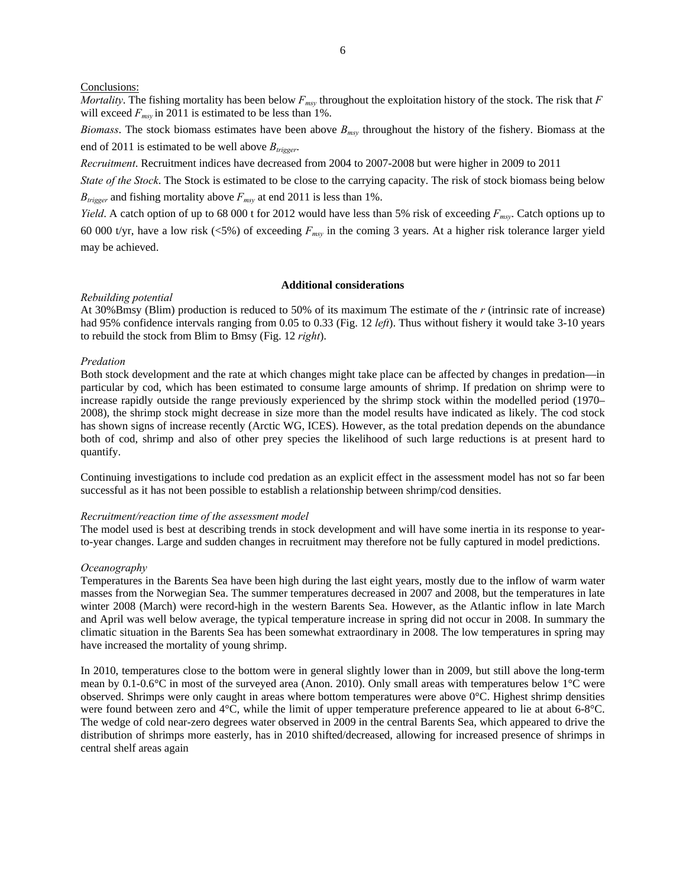## Conclusions:

*Mortality*. The fishing mortality has been below  $F_{msy}$  throughout the exploitation history of the stock. The risk that  $F$ will exceed  $F_{msv}$  in 2011 is estimated to be less than 1%.

*Biomass*. The stock biomass estimates have been above *Bmsy* throughout the history of the fishery. Biomass at the end of 2011 is estimated to be well above  $B_{trigger}$ .

*Recruitment*. Recruitment indices have decreased from 2004 to 2007-2008 but were higher in 2009 to 2011

*State of the Stock*. The Stock is estimated to be close to the carrying capacity. The risk of stock biomass being below  $B_{trigger}$  and fishing mortality above  $F_{msy}$  at end 2011 is less than 1%.

*Yield*. A catch option of up to 68 000 t for 2012 would have less than 5% risk of exceeding *Fmsy*. Catch options up to 60 000 t/yr, have a low risk (<5%) of exceeding  $F_{msy}$  in the coming 3 years. At a higher risk tolerance larger yield may be achieved.

#### **Additional considerations**

## *Rebuilding potential*

At 30%Bmsy (Blim) production is reduced to 50% of its maximum The estimate of the *r* (intrinsic rate of increase) had 95% confidence intervals ranging from 0.05 to 0.33 (Fig. 12 *left*). Thus without fishery it would take 3-10 years to rebuild the stock from Blim to Bmsy (Fig. 12 *right*).

## *Predation*

Both stock development and the rate at which changes might take place can be affected by changes in predation—in particular by cod, which has been estimated to consume large amounts of shrimp. If predation on shrimp were to increase rapidly outside the range previously experienced by the shrimp stock within the modelled period (1970– 2008), the shrimp stock might decrease in size more than the model results have indicated as likely. The cod stock has shown signs of increase recently (Arctic WG, ICES). However, as the total predation depends on the abundance both of cod, shrimp and also of other prey species the likelihood of such large reductions is at present hard to quantify.

Continuing investigations to include cod predation as an explicit effect in the assessment model has not so far been successful as it has not been possible to establish a relationship between shrimp/cod densities.

# *Recruitment/reaction time of the assessment model*

The model used is best at describing trends in stock development and will have some inertia in its response to yearto-year changes. Large and sudden changes in recruitment may therefore not be fully captured in model predictions.

## *Oceanography*

Temperatures in the Barents Sea have been high during the last eight years, mostly due to the inflow of warm water masses from the Norwegian Sea. The summer temperatures decreased in 2007 and 2008, but the temperatures in late winter 2008 (March) were record-high in the western Barents Sea. However, as the Atlantic inflow in late March and April was well below average, the typical temperature increase in spring did not occur in 2008. In summary the climatic situation in the Barents Sea has been somewhat extraordinary in 2008. The low temperatures in spring may have increased the mortality of young shrimp.

In 2010, temperatures close to the bottom were in general slightly lower than in 2009, but still above the long-term mean by 0.1-0.6°C in most of the surveyed area (Anon. 2010). Only small areas with temperatures below 1°C were observed. Shrimps were only caught in areas where bottom temperatures were above 0°C. Highest shrimp densities were found between zero and 4°C, while the limit of upper temperature preference appeared to lie at about 6-8°C. The wedge of cold near-zero degrees water observed in 2009 in the central Barents Sea, which appeared to drive the distribution of shrimps more easterly, has in 2010 shifted/decreased, allowing for increased presence of shrimps in central shelf areas again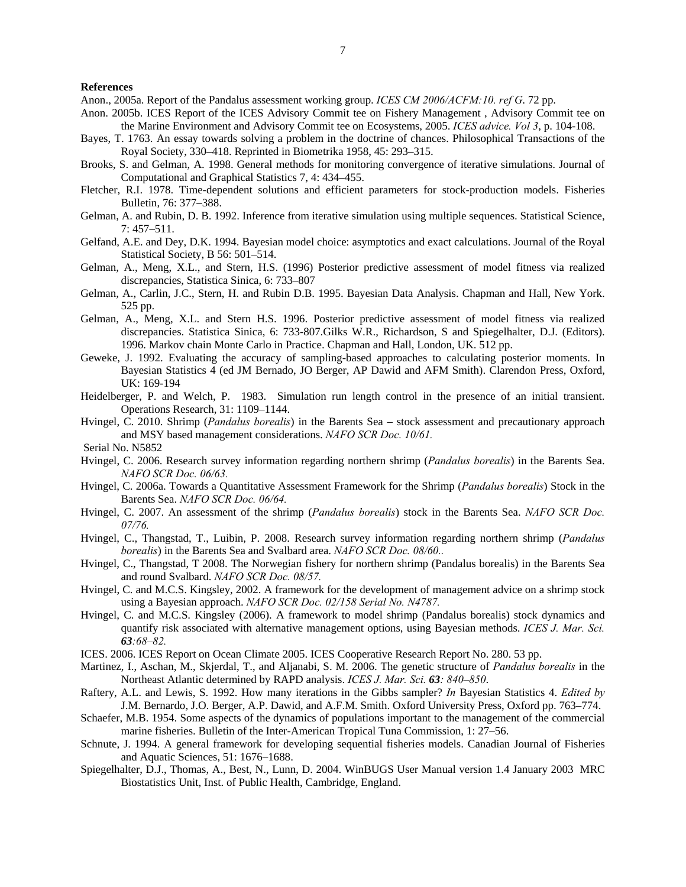## **References**

Anon., 2005a. Report of the Pandalus assessment working group. *ICES CM 2006/ACFM:10. ref G*. 72 pp.

- Anon. 2005b. ICES Report of the ICES Advisory Commit tee on Fishery Management , Advisory Commit tee on the Marine Environment and Advisory Commit tee on Ecosystems, 2005. *ICES advice. Vol 3*, p. 104-108.
- Bayes, T. 1763. An essay towards solving a problem in the doctrine of chances. Philosophical Transactions of the Royal Society, 330–418. Reprinted in Biometrika 1958, 45: 293–315.
- Brooks, S. and Gelman, A. 1998. General methods for monitoring convergence of iterative simulations. Journal of Computational and Graphical Statistics 7, 4: 434–455.
- Fletcher, R.I. 1978. Time-dependent solutions and efficient parameters for stock-production models. Fisheries Bulletin, 76: 377–388.
- Gelman, A. and Rubin, D. B. 1992. Inference from iterative simulation using multiple sequences. Statistical Science, 7: 457–511.
- Gelfand, A.E. and Dey, D.K. 1994. Bayesian model choice: asymptotics and exact calculations. Journal of the Royal Statistical Society, B 56: 501–514.
- Gelman, A., Meng, X.L., and Stern, H.S. (1996) Posterior predictive assessment of model fitness via realized discrepancies, Statistica Sinica, 6: 733–807
- Gelman, A., Carlin, J.C., Stern, H. and Rubin D.B. 1995. Bayesian Data Analysis. Chapman and Hall, New York. 525 pp.
- Gelman, A., Meng, X.L. and Stern H.S. 1996. Posterior predictive assessment of model fitness via realized discrepancies. Statistica Sinica, 6: 733-807.Gilks W.R., Richardson, S and Spiegelhalter, D.J. (Editors). 1996. Markov chain Monte Carlo in Practice. Chapman and Hall, London, UK. 512 pp.
- Geweke, J. 1992. Evaluating the accuracy of sampling-based approaches to calculating posterior moments. In Bayesian Statistics 4 (ed JM Bernado, JO Berger, AP Dawid and AFM Smith). Clarendon Press, Oxford, UK: 169-194
- Heidelberger, P. and Welch, P. 1983. Simulation run length control in the presence of an initial transient. Operations Research, 31: 1109–1144.
- Hvingel, C. 2010. Shrimp (*Pandalus borealis*) in the Barents Sea stock assessment and precautionary approach and MSY based management considerations. *NAFO SCR Doc. 10/61.*

Serial No. N5852

- Hvingel, C. 2006. Research survey information regarding northern shrimp (*Pandalus borealis*) in the Barents Sea. *NAFO SCR Doc. 06/63.*
- Hvingel, C. 2006a. Towards a Quantitative Assessment Framework for the Shrimp (*Pandalus borealis*) Stock in the Barents Sea. *NAFO SCR Doc. 06/64.*
- Hvingel, C. 2007. An assessment of the shrimp (*Pandalus borealis*) stock in the Barents Sea. *NAFO SCR Doc. 07/76.*
- Hvingel, C., Thangstad, T., Luibin, P. 2008. Research survey information regarding northern shrimp (*Pandalus borealis*) in the Barents Sea and Svalbard area. *NAFO SCR Doc. 08/60..*
- Hvingel, C., Thangstad, T 2008. The Norwegian fishery for northern shrimp (Pandalus borealis) in the Barents Sea and round Svalbard. *NAFO SCR Doc. 08/57.*
- Hvingel, C. and M.C.S. Kingsley, 2002. A framework for the development of management advice on a shrimp stock using a Bayesian approach. *NAFO SCR Doc. 02/158 Serial No. N4787.*
- Hvingel, C. and M.C.S. Kingsley (2006). A framework to model shrimp (Pandalus borealis) stock dynamics and quantify risk associated with alternative management options, using Bayesian methods. *ICES J. Mar. Sci. 63:68–82.*
- ICES. 2006. ICES Report on Ocean Climate 2005. ICES Cooperative Research Report No. 280. 53 pp.
- Martinez, I., Aschan, M., Skjerdal, T., and Aljanabi, S. M. 2006. The genetic structure of *Pandalus borealis* in the Northeast Atlantic determined by RAPD analysis. *ICES J. Mar. Sci. 63: 840–850*.
- Raftery, A.L. and Lewis, S. 1992. How many iterations in the Gibbs sampler? *In* Bayesian Statistics 4. *Edited by* J.M. Bernardo, J.O. Berger, A.P. Dawid, and A.F.M. Smith. Oxford University Press, Oxford pp. 763–774.
- Schaefer, M.B. 1954. Some aspects of the dynamics of populations important to the management of the commercial marine fisheries. Bulletin of the Inter-American Tropical Tuna Commission, 1: 27–56.
- Schnute, J. 1994. A general framework for developing sequential fisheries models. Canadian Journal of Fisheries and Aquatic Sciences, 51: 1676–1688.
- Spiegelhalter, D.J., Thomas, A., Best, N., Lunn, D. 2004. WinBUGS User Manual version 1.4 January 2003 MRC Biostatistics Unit, Inst. of Public Health, Cambridge, England.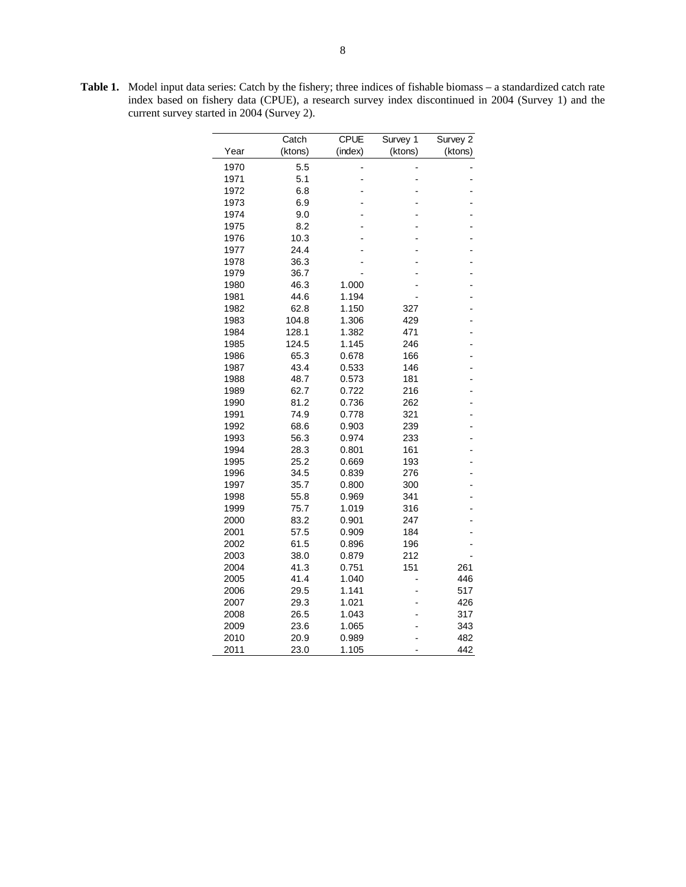**Table 1.** Model input data series: Catch by the fishery; three indices of fishable biomass – a standardized catch rate index based on fishery data (CPUE), a research survey index discontinued in 2004 (Survey 1) and the current survey started in 2004 (Survey 2).

|              | Catch          | <b>CPUE</b>    | Survey 1   | Survey 2 |
|--------------|----------------|----------------|------------|----------|
| Year         | (ktons)        | (index)        | (ktons)    | (ktons)  |
|              |                |                |            |          |
| 1970         | 5.5            |                |            |          |
| 1971         | 5.1            | -              |            |          |
| 1972         | 6.8            |                |            |          |
| 1973         | 6.9            |                |            |          |
| 1974         | 9.0            |                |            |          |
| 1975         | 8.2            |                |            |          |
| 1976         | 10.3           |                |            |          |
| 1977         | 24.4           |                |            |          |
| 1978         | 36.3           |                |            |          |
| 1979         | 36.7           |                |            |          |
| 1980         | 46.3           | 1.000          |            |          |
| 1981         | 44.6           | 1.194          |            |          |
| 1982         | 62.8           | 1.150          | 327        |          |
| 1983<br>1984 | 104.8<br>128.1 | 1.306<br>1.382 | 429<br>471 |          |
| 1985         | 124.5          | 1.145          | 246        |          |
| 1986         | 65.3           | 0.678          | 166        |          |
| 1987         | 43.4           | 0.533          | 146        |          |
| 1988         | 48.7           | 0.573          | 181        |          |
| 1989         | 62.7           | 0.722          | 216        |          |
| 1990         | 81.2           | 0.736          | 262        |          |
| 1991         | 74.9           | 0.778          | 321        |          |
| 1992         | 68.6           | 0.903          | 239        |          |
| 1993         | 56.3           | 0.974          | 233        |          |
| 1994         | 28.3           | 0.801          | 161        |          |
| 1995         | 25.2           | 0.669          | 193        |          |
| 1996         | 34.5           | 0.839          | 276        |          |
| 1997         | 35.7           | 0.800          | 300        |          |
| 1998         | 55.8           | 0.969          | 341        |          |
| 1999         | 75.7           | 1.019          | 316        |          |
| 2000         | 83.2           | 0.901          | 247        |          |
| 2001         | 57.5           | 0.909          | 184        |          |
| 2002         | 61.5           | 0.896          | 196        |          |
| 2003         | 38.0           | 0.879          | 212        |          |
| 2004         | 41.3           | 0.751          | 151        | 261      |
| 2005         | 41.4           | 1.040          |            | 446      |
| 2006         | 29.5           | 1.141          |            | 517      |
| 2007         | 29.3           | 1.021          |            | 426      |
| 2008         | 26.5           | 1.043          |            | 317      |
| 2009         | 23.6           | 1.065          |            | 343      |
| 2010         | 20.9           | 0.989          |            | 482      |
| 2011         | 23.0           | 1.105          |            | 442      |
|              |                |                |            |          |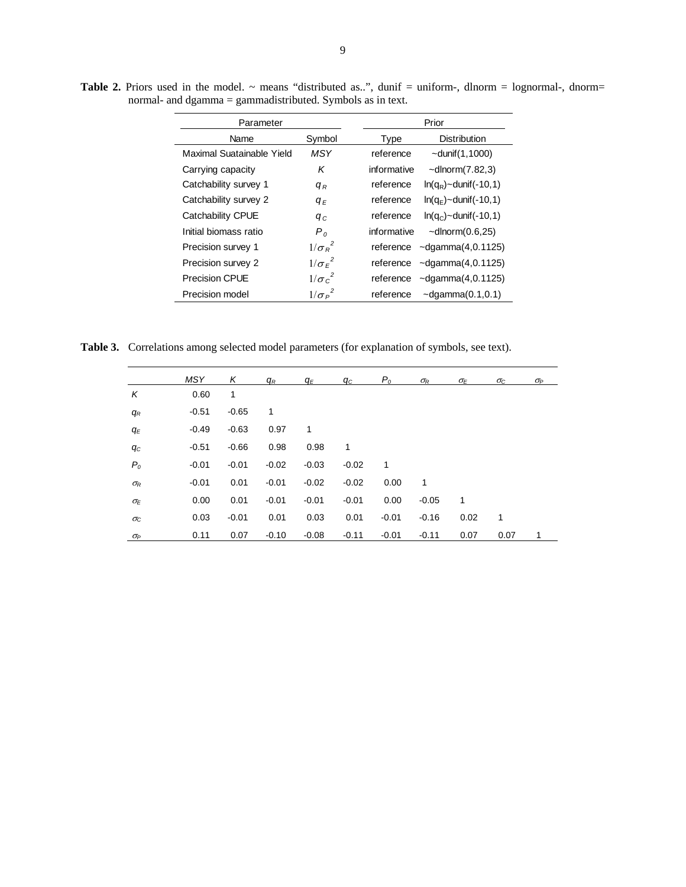| Parameter                 |                | Prior                                    |
|---------------------------|----------------|------------------------------------------|
| Name                      | Symbol         | <b>Distribution</b><br><b>Type</b>       |
| Maximal Suatainable Yield | <b>MSY</b>     | reference<br>$\sim$ dunif $(1, 1000)$    |
| Carrying capacity         | Κ              | informative<br>$\sim$ dlnorm $(7.82,3)$  |
| Catchability survey 1     | $q_R$          | reference<br>$ln(q_R)$ ~dunif(-10,1)     |
| Catchability survey 2     | $q_E$          | reference<br>$ln(q_F)$ ~dunif(-10,1)     |
| Catchability CPUE         | $q_c$          | reference<br>$ln(qc)$ ~dunif(-10,1)      |
| Initial biomass ratio     | P <sub>0</sub> | informative<br>$\sim$ dlnorm $(0.6,25)$  |
| Precision survey 1        | $1/\sigma_R^2$ | $\sim$ dgamma $(4, 0.1125)$<br>reference |
| Precision survey 2        | $1/\sigma_E^2$ | $\sim$ dgamma $(4, 0.1125)$<br>reference |
| <b>Precision CPUE</b>     | $1/\sigma_c^2$ | $\sim$ dgamma $(4, 0.1125)$<br>reference |
| Precision model           | $1/\sigma_P^2$ | $\sim$ dgamma $(0.1, 0.1)$<br>reference  |

Table 2. Priors used in the model. ~ means "distributed as..", dunif = uniform-, dlnorm = lognormal-, dnorm= normal- and dgamma = gammadistributed. Symbols as in text.

**Table 3.** Correlations among selected model parameters (for explanation of symbols, see text).

|                  | <b>MSY</b> | Κ       | $q_R$        | q <sub>Ε</sub> | $q_{c}$ | $P_o$   | $\sigma_{\!R}$ | $\sigma_E$ | $\sigma_{\rm C}$ | $\sigma_P$ |
|------------------|------------|---------|--------------|----------------|---------|---------|----------------|------------|------------------|------------|
| K                | 0.60       | 1       |              |                |         |         |                |            |                  |            |
| $q_R$            | $-0.51$    | $-0.65$ | $\mathbf{1}$ |                |         |         |                |            |                  |            |
| $q_E$            | $-0.49$    | $-0.63$ | 0.97         | 1              |         |         |                |            |                  |            |
| $q_{C}$          | $-0.51$    | $-0.66$ | 0.98         | 0.98           | 1       |         |                |            |                  |            |
| P <sub>o</sub>   | $-0.01$    | $-0.01$ | $-0.02$      | $-0.03$        | $-0.02$ | 1       |                |            |                  |            |
| $\sigma_R$       | $-0.01$    | 0.01    | $-0.01$      | $-0.02$        | $-0.02$ | 0.00    | 1              |            |                  |            |
| $\sigma_E$       | 0.00       | 0.01    | $-0.01$      | $-0.01$        | $-0.01$ | 0.00    | $-0.05$        | 1          |                  |            |
| $\sigma_{\rm C}$ | 0.03       | $-0.01$ | 0.01         | 0.03           | 0.01    | $-0.01$ | $-0.16$        | 0.02       | 1                |            |
| $\sigma_P$       | 0.11       | 0.07    | $-0.10$      | $-0.08$        | $-0.11$ | $-0.01$ | $-0.11$        | 0.07       | 0.07             | 1          |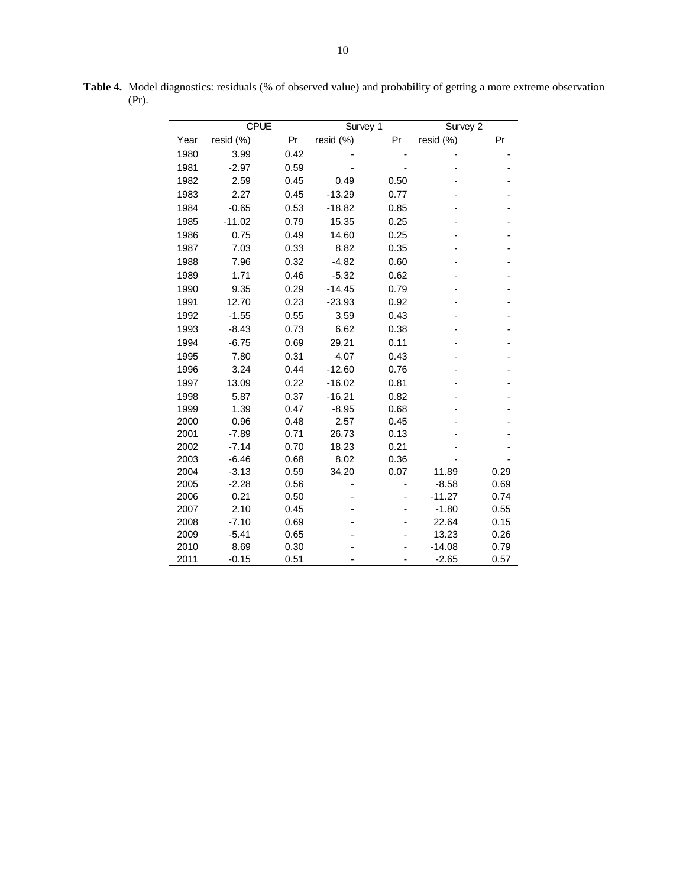| <b>CPUE</b> |                 |      | Survey 1  |      | Survey 2  |      |  |
|-------------|-----------------|------|-----------|------|-----------|------|--|
| Year        | resid (%)<br>Pr |      | resid (%) | Pr   | resid (%) | Pr   |  |
| 1980        | 3.99            | 0.42 |           |      |           |      |  |
| 1981        | $-2.97$         | 0.59 |           |      |           |      |  |
| 1982        | 2.59            | 0.45 | 0.49      | 0.50 |           |      |  |
| 1983        | 2.27            | 0.45 | $-13.29$  | 0.77 |           |      |  |
|             |                 |      |           |      |           |      |  |
| 1984        | $-0.65$         | 0.53 | $-18.82$  | 0.85 |           |      |  |
| 1985        | $-11.02$        | 0.79 | 15.35     | 0.25 |           |      |  |
| 1986        | 0.75            | 0.49 | 14.60     | 0.25 |           |      |  |
| 1987        | 7.03            | 0.33 | 8.82      | 0.35 |           |      |  |
| 1988        | 7.96            | 0.32 | $-4.82$   | 0.60 |           |      |  |
| 1989        | 1.71            | 0.46 | $-5.32$   | 0.62 |           |      |  |
| 1990        | 9.35            | 0.29 | $-14.45$  | 0.79 |           |      |  |
| 1991        | 12.70           | 0.23 | $-23.93$  | 0.92 |           |      |  |
| 1992        | $-1.55$         | 0.55 | 3.59      | 0.43 |           |      |  |
| 1993        | $-8.43$         | 0.73 | 6.62      | 0.38 |           |      |  |
| 1994        | $-6.75$         | 0.69 | 29.21     | 0.11 |           |      |  |
| 1995        | 7.80            | 0.31 | 4.07      | 0.43 |           |      |  |
| 1996        | 3.24            | 0.44 | $-12.60$  | 0.76 |           |      |  |
| 1997        | 13.09           | 0.22 | $-16.02$  | 0.81 |           |      |  |
| 1998        | 5.87            | 0.37 | $-16.21$  | 0.82 |           |      |  |
| 1999        | 1.39            | 0.47 | $-8.95$   | 0.68 |           |      |  |
| 2000        | 0.96            | 0.48 | 2.57      | 0.45 |           |      |  |
| 2001        | $-7.89$         | 0.71 | 26.73     | 0.13 |           |      |  |
| 2002        | $-7.14$         | 0.70 | 18.23     | 0.21 |           |      |  |
| 2003        | $-6.46$         | 0.68 | 8.02      | 0.36 |           |      |  |
| 2004        | $-3.13$         | 0.59 | 34.20     | 0.07 | 11.89     | 0.29 |  |
| 2005        | $-2.28$         | 0.56 |           |      | $-8.58$   | 0.69 |  |
| 2006        | 0.21            | 0.50 |           |      | $-11.27$  | 0.74 |  |
| 2007        | 2.10            | 0.45 |           |      | $-1.80$   | 0.55 |  |
| 2008        | $-7.10$         | 0.69 |           |      | 22.64     | 0.15 |  |
| 2009        | $-5.41$         | 0.65 |           |      | 13.23     | 0.26 |  |
| 2010        | 8.69            | 0.30 |           |      | $-14.08$  | 0.79 |  |
| 2011        | $-0.15$         | 0.51 |           |      | $-2.65$   | 0.57 |  |

**Table 4.** Model diagnostics: residuals (% of observed value) and probability of getting a more extreme observation (Pr).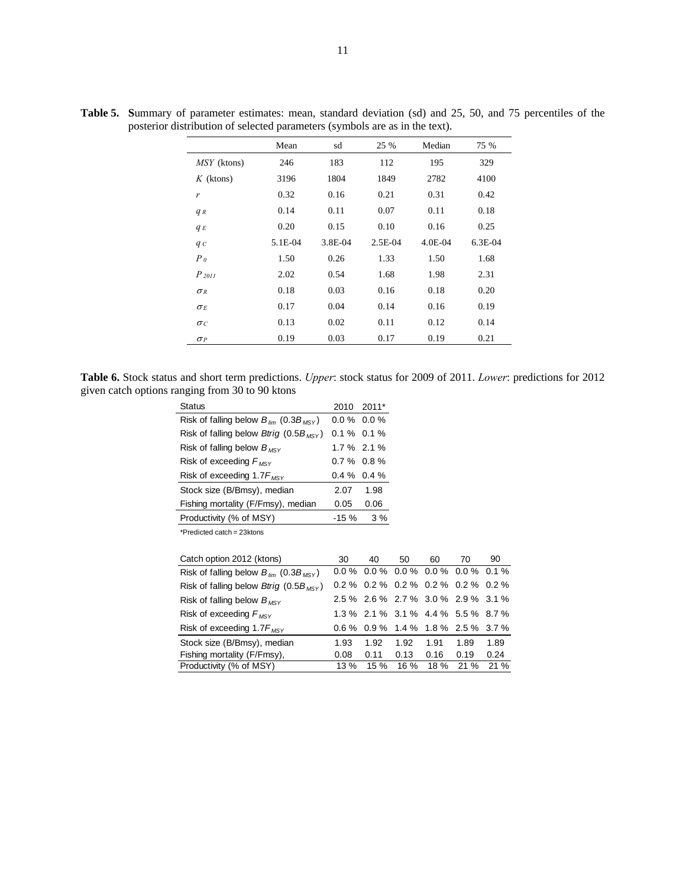|                | Mean    | sd      | 25 %      | Median      | 75 %      |
|----------------|---------|---------|-----------|-------------|-----------|
| MSY (ktons)    | 246     | 183     | 112       | 195         | 329       |
| $K$ (ktons)    | 3196    | 1804    | 1849      | 2782        | 4100      |
| r              | 0.32    | 0.16    | 0.21      | 0.31        | 0.42      |
| $q_R$          | 0.14    | 0.11    | 0.07      | 0.11        | 0.18      |
| $q_E$          | 0.20    | 0.15    | 0.10      | 0.16        | 0.25      |
| $q_c$          | 5.1E-04 | 3.8E-04 | $2.5E-04$ | $4.0E - 04$ | $6.3E-04$ |
| P <sub>0</sub> | 1.50    | 0.26    | 1.33      | 1.50        | 1.68      |
| $P_{2011}$     | 2.02    | 0.54    | 1.68      | 1.98        | 2.31      |
| $\sigma_R$     | 0.18    | 0.03    | 0.16      | 0.18        | 0.20      |
| $\sigma_E$     | 0.17    | 0.04    | 0.14      | 0.16        | 0.19      |
| $\sigma_C$     | 0.13    | 0.02    | 0.11      | 0.12        | 0.14      |
| $\sigma_P$     | 0.19    | 0.03    | 0.17      | 0.19        | 0.21      |

**Table 5. S**ummary of parameter estimates: mean, standard deviation (sd) and 25, 50, and 75 percentiles of the posterior distribution of selected parameters (symbols are as in the text).

**Table 6.** Stock status and short term predictions. *Upper*: stock status for 2009 of 2011. *Lower*: predictions for 2012 given catch options ranging from 30 to 90 ktons

| <b>Status</b>                                                                                               | 2010          | $2011*$                       |    |                             |    |    |
|-------------------------------------------------------------------------------------------------------------|---------------|-------------------------------|----|-----------------------------|----|----|
| Risk of falling below $B_{lim}$ (0.3 $B_{MSV}$ )                                                            |               | $0.0\%$ 0.0 %                 |    |                             |    |    |
| Risk of falling below <i>Btrig</i> (0.5B <sub>MSY</sub> )                                                   | $0.1\%$ 0.1 % |                               |    |                             |    |    |
| Risk of falling below $B_{MSV}$                                                                             |               | $1.7\%$ 2.1 %                 |    |                             |    |    |
| Risk of exceeding $F_{MSV}$                                                                                 |               | $0.7\%$ 0.8 %                 |    |                             |    |    |
| Risk of exceeding $1.7F_{MSV}$                                                                              |               | $0.4\%$ 0.4 %                 |    |                             |    |    |
| Stock size (B/Bmsy), median                                                                                 | 2.07          | 1.98                          |    |                             |    |    |
| Fishing mortality (F/Fmsy), median                                                                          | 0.05          | 0.06                          |    |                             |    |    |
| Productivity (% of MSY)                                                                                     | $-15%$        | 3 %                           |    |                             |    |    |
| *Predicted catch = 23ktons                                                                                  |               |                               |    |                             |    |    |
|                                                                                                             |               |                               |    |                             |    |    |
| Catch option 2012 (ktons)                                                                                   | 30            | 40                            | 50 | 60                          | 70 | 90 |
| Risk of falling below $B_{lim}$ (0.3 $B_{MSV}$ )                                                            | $0.0 \%$      |                               |    | $0.0\%$ 0.0% 0.0% 0.0% 0.1% |    |    |
| $D_{\text{in}}$ $\sim$ $L_{\text{in}}$ $\sim$ $L_{\text{in}}$ $\sim$ $D_{\text{in}}$ $\sim$ $D_{\text{in}}$ |               | ሰኃየሪ ሰኃየሪ ሰኃየሪ ሰኃየሪ ሰኃየሪ ሰኃየሪ |    |                             |    |    |

| Risk of falling below $B_{lim}$ (0.3 $B_{Max}$ )          |      |      |           |      | $0.0\%$ 0.0 % 0.0 % 0.0 % 0.0 % 0.0 % 0.1 % |      |
|-----------------------------------------------------------|------|------|-----------|------|---------------------------------------------|------|
| Risk of falling below <i>Btrig</i> (0.5B <sub>MSV</sub> ) |      |      |           |      | $0.2\%$ 0.2 % 0.2 % 0.2 % 0.2 % 0.2 %       |      |
| Risk of falling below $B_{MSY}$                           |      |      |           |      | 2.5 % 2.6 % 2.7 % 3.0 % 2.9 % 3.1 %         |      |
| Risk of exceeding $F_{MSV}$                               |      |      |           |      | 1.3 % 2.1 % 3.1 % 4.4 % 5.5 % 8.7 %         |      |
| Risk of exceeding 1.7 $F_{MSY}$                           |      |      |           |      | $0.6\%$ 0.9% 1.4% 1.8% 2.5% 3.7%            |      |
| Stock size (B/Bmsy), median                               | 1.93 | 1.92 | 1.92 1.91 |      | 1.89                                        | 1.89 |
| Fishing mortality (F/Fmsy),                               | 0.08 | 0.11 | 0.13      | 0.16 | 0.19                                        | 0.24 |
| Productivity (% of MSY)                                   | 13 % |      |           |      | 15 % 16 % 18 % 21 % 21 %                    |      |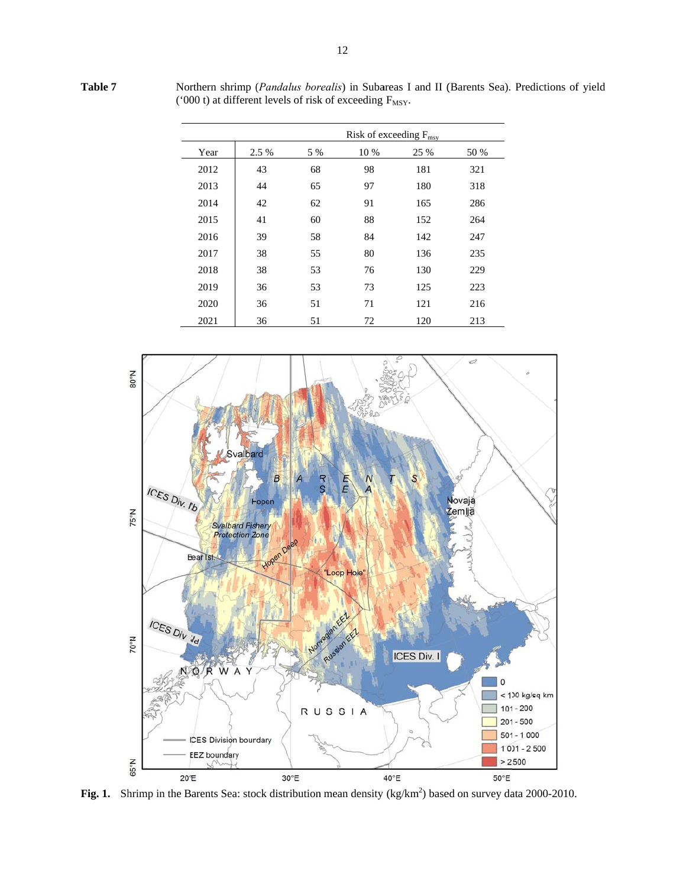Year 2012 2013 2014 2015 2016 2017 2018 2019 2020 .5 % 5 % 43 68 44 65 42 62 41 60 39 58 38 55 38 53 36 53 36 51 Risk of exceeding F<sub>msy</sub> % 10 % 98 97 91 88 84 80 76 73 71 25 % 181 180 165 152 142 136 130 125 121 50 % 321 318 286 264 247 235 229 223 216

72

120

213

d  $\rm N_{\circ}08$ Svalbard B E ICES Div. IIb Novaja Fopen 75°N Zemlja Svalbard Fishery<br>Protection Zone Hopen Bear Ist. "Loop Hole" ICES Div. Ila  $N_00Z$ RUSS **ICES Div. I** Ŵ  $\overline{A}$ 0 < 100 kg/sq km  $101 - 200$ RUSSIA  $201 - 500$  $501 - 1000$ **ICES Division bourdary** 1001 - 2500 **EEZ** boundary 65°N  $> 2500$  $20^{\circ}E$ 30°E 40°E  $50^{\circ}E$ 

Fig. 1. Shrimp in the Barents Sea: stock distribution mean density  $(kg/km^2)$  based on survey data 2000-2010.

Northern shrimp (*Pandalus borealis*) in Subareas I and II (Barents Sea). Predictions of yield ('000 t) at different levels of risk of exceeding  $F_{MSY}$ .

**Table 7**

2021

36 51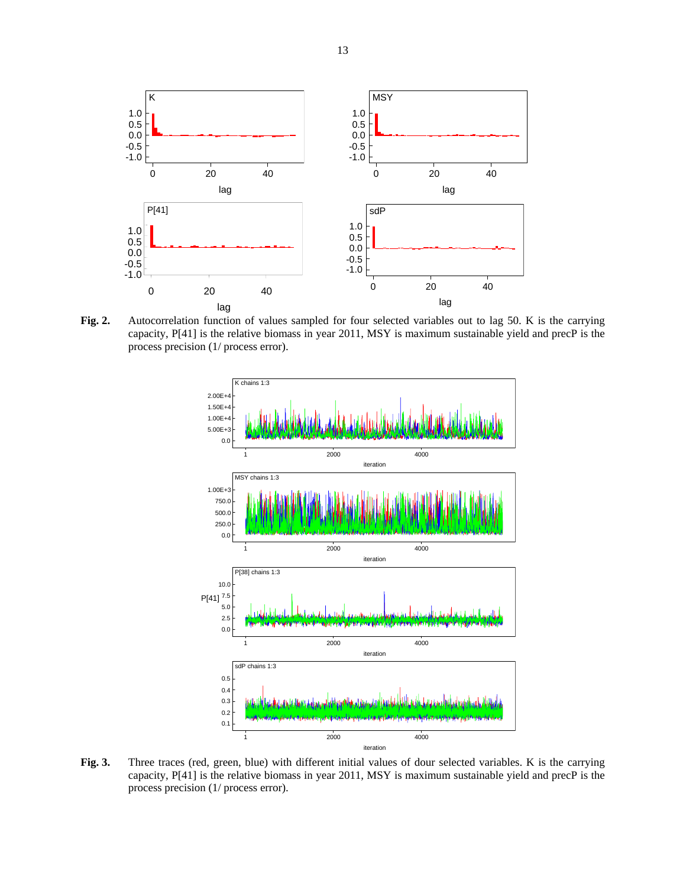

Fig. 2. Autocorrelation function of values sampled for four selected variables out to lag 50. K is the carrying capacity, P[41] is the relative biomass in year 2011, MSY is maximum sustainable yield and precP is the process precision (1/ process error).



**Fig. 3.** Three traces (red, green, blue) with different initial values of dour selected variables. K is the carrying capacity, P[41] is the relative biomass in year 2011, MSY is maximum sustainable yield and precP is the process precision (1/ process error).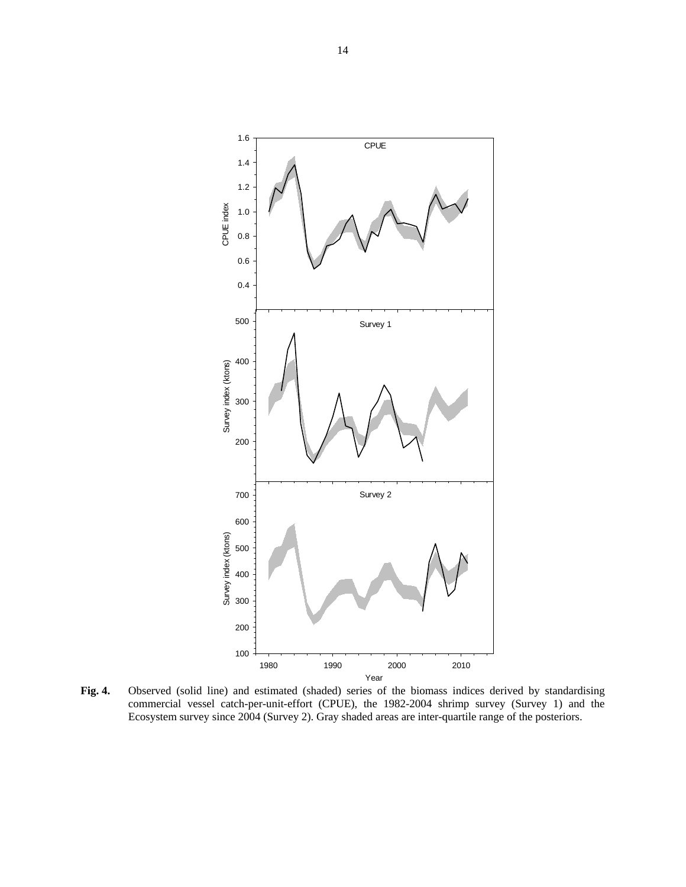

**Fig. 4.** Observed (solid line) and estimated (shaded) series of the biomass indices derived by standardising commercial vessel catch-per-unit-effort (CPUE), the 1982-2004 shrimp survey (Survey 1) and the Ecosystem survey since 2004 (Survey 2). Gray shaded areas are inter-quartile range of the posteriors.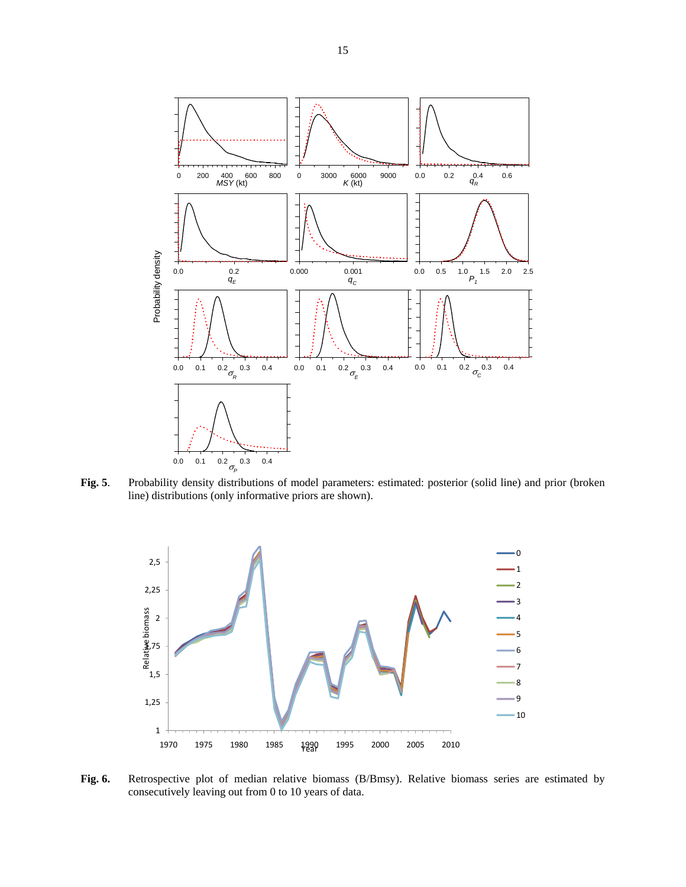

**Fig. 5**. Probability density distributions of model parameters: estimated: posterior (solid line) and prior (broken line) distributions (only informative priors are shown).



**Fig. 6.** Retrospective plot of median relative biomass (B/Bmsy). Relative biomass series are estimated by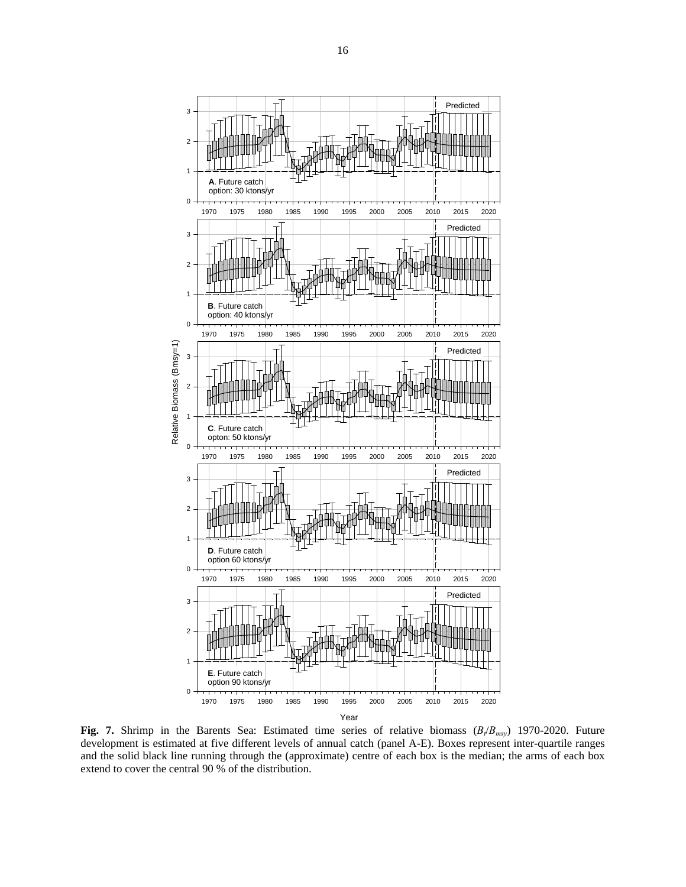

**Fig. 7.** Shrimp in the Barents Sea: Estimated time series of relative biomass  $(B_t/B_{msy})$  1970-2020. Future development is estimated at five different levels of annual catch (panel A-E). Boxes represent inter-quartile ranges and the solid black line running through the (approximate) centre of each box is the median; the arms of each box extend to cover the central 90 % of the distribution.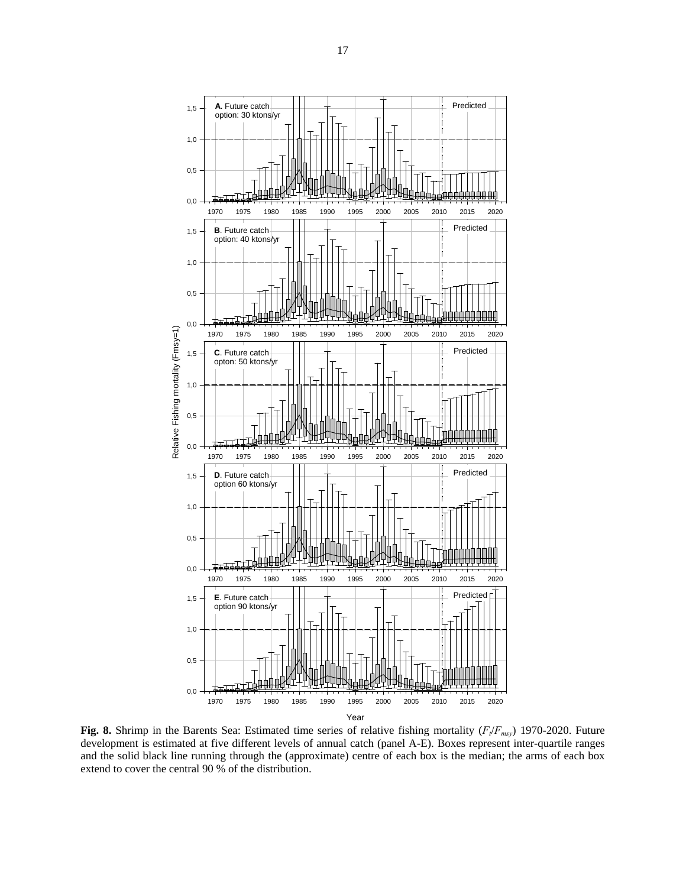

**Fig. 8.** Shrimp in the Barents Sea: Estimated time series of relative fishing mortality ( $F_t/F_{msy}$ ) 1970-2020. Future development is estimated at five different levels of annual catch (panel A-E). Boxes represent inter-quartile ranges and the solid black line running through the (approximate) centre of each box is the median; the arms of each box extend to cover the central 90 % of the distribution.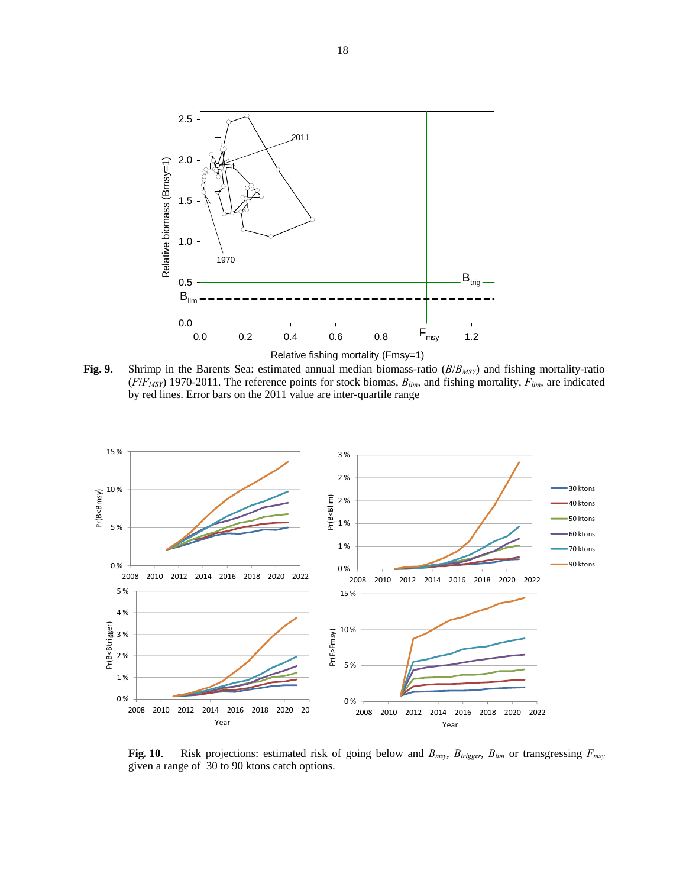

**Fig. 9.** Shrimp in the Barents Sea: estimated annual median biomass-ratio (*B*/*BMSY*) and fishing mortality-ratio  $(F/F<sub>MSY</sub>)$  1970-2011. The reference points for stock biomas,  $B<sub>lim</sub>$ , and fishing mortality,  $F<sub>lim</sub>$ , are indicated by red lines. Error bars on the 2011 value are inter-quartile range



**Fig. 10**. Risk projections: estimated risk of going below and  $B_{msy}$ ,  $B_{trigger}$ ,  $B_{lim}$  or transgressing  $F_{msy}$ given a range of 30 to 90 ktons catch options.